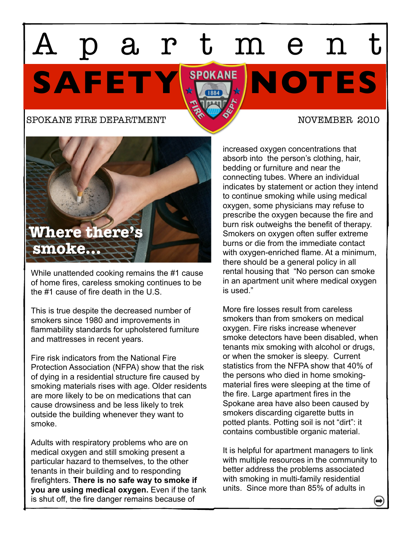# SAFETY HEADY NOTES partmen

## SPOKANE FIRE DEPARTMENT NOVEMBER 2010



While unattended cooking remains the #1 cause of home fires, careless smoking continues to be the #1 cause of fire death in the U.S.

This is true despite the decreased number of smokers since 1980 and improvements in flammability standards for upholstered furniture and mattresses in recent years.

Fire risk indicators from the National Fire Protection Association (NFPA) show that the risk of dying in a residential structure fire caused by smoking materials rises with age. Older residents are more likely to be on medications that can cause drowsiness and be less likely to trek outside the building whenever they want to smoke.

Adults with respiratory problems who are on medical oxygen and still smoking present a particular hazard to themselves, to the other tenants in their building and to responding firefighters. **There is no safe way to smoke if you are using medical oxygen.** Even if the tank is shut off, the fire danger remains because of

increased oxygen concentrations that absorb into the person's clothing, hair, bedding or furniture and near the connecting tubes. Where an individual indicates by statement or action they intend to continue smoking while using medical oxygen, some physicians may refuse to prescribe the oxygen because the fire and burn risk outweighs the benefit of therapy. Smokers on oxygen often suffer extreme burns or die from the immediate contact with oxygen-enriched flame. At a minimum, there should be a general policy in all rental housing that "No person can smoke in an apartment unit where medical oxygen is used."

More fire losses result from careless smokers than from smokers on medical oxygen. Fire risks increase whenever smoke detectors have been disabled, when tenants mix smoking with alcohol or drugs, or when the smoker is sleepy. Current statistics from the NFPA show that 40% of the persons who died in home smokingmaterial fires were sleeping at the time of the fire. Large apartment fires in the Spokane area have also been caused by smokers discarding cigarette butts in potted plants. Potting soil is not "dirt": it contains combustible organic material.

It is helpful for apartment managers to link with multiple resources in the community to better address the problems associated with smoking in multi-family residential units. Since more than 85% of adults in